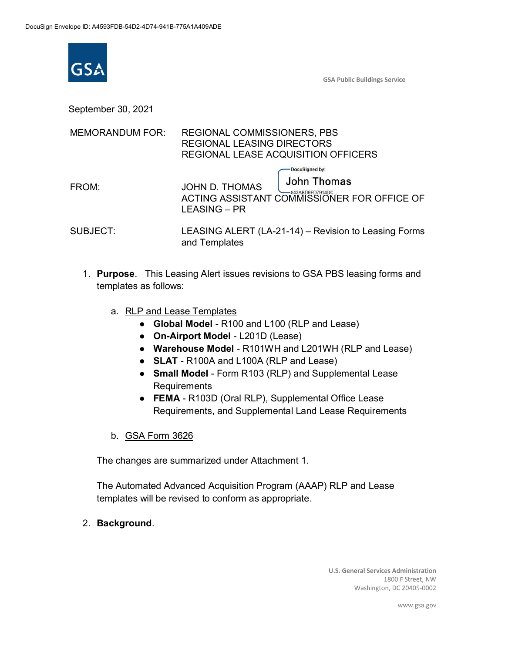

**GSA Public Buildings Service** 

September 30, 2021

| <b>MEMORANDUM FOR:</b> | <b>REGIONAL COMMISSIONERS, PBS</b><br><b>REGIONAL LEASING DIRECTORS</b><br>REGIONAL LEASE ACQUISITION OFFICERS                        |
|------------------------|---------------------------------------------------------------------------------------------------------------------------------------|
| FROM:                  | DocuSigned by:<br>John Thomas<br>JOHN D. THOMAS<br>$-843AB$ D9FD7914DC<br>ACTING ASSISTANT COMMISSIONER FOR OFFICE OF<br>LEASING – PR |
| <b>SUBJECT:</b>        | LEASING ALERT (LA-21-14) – Revision to Leasing Forms<br>and Templates                                                                 |

- 1. **Purpose**. This Leasing Alert issues revisions to GSA PBS leasing forms and templates as follows:
	- a. RLP and Lease Templates
		- **Global Model** R100 and L100 (RLP and Lease)
		- **On-Airport Model** L201D (Lease)
		- **Warehouse Model** R101WH and L201WH (RLP and Lease)
		- **SLAT** R100A and L100A (RLP and Lease)
		- **Small Model** Form R103 (RLP) and Supplemental Lease Requirements
		- **FEMA** R103D (Oral RLP), Supplemental Office Lease Requirements, and Supplemental Land Lease Requirements
	- b. GSA Form 3626

The changes are summarized under Attachment 1.

The Automated Advanced Acquisition Program (AAAP) RLP and Lease templates will be revised to conform as appropriate.

2. **Background**.

**U.S. General Services Administration** 1800 F Street, NW Washington, DC 20405-0002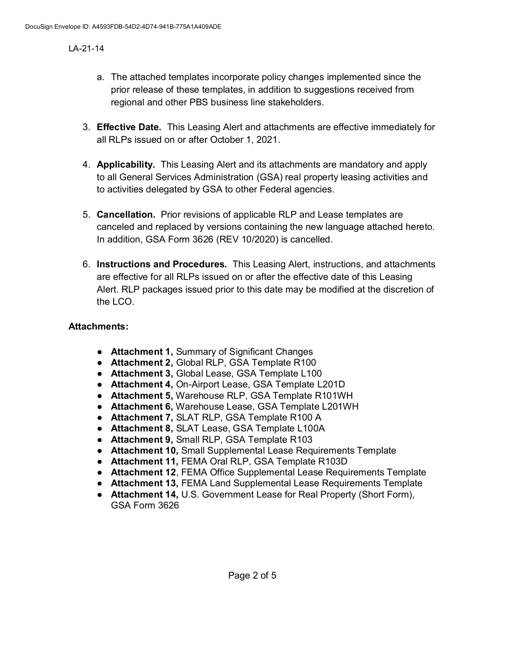- a. The attached templates incorporate policy changes implemented since the prior release of these templates, in addition to suggestions received from regional and other PBS business line stakeholders.
- 3. **Effective Date.** This Leasing Alert and attachments are effective immediately for all RLPs issued on or after October 1, 2021.
- 4. **Applicability.** This Leasing Alert and its attachments are mandatory and apply to all General Services Administration (GSA) real property leasing activities and to activities delegated by GSA to other Federal agencies.
- 5. **Cancellation.** Prior revisions of applicable RLP and Lease templates are canceled and replaced by versions containing the new language attached hereto. In addition, GSA Form 3626 (REV 10/2020) is cancelled.
- 6. **Instructions and Procedures.** This Leasing Alert, instructions, and attachments are effective for all RLPs issued on or after the effective date of this Leasing Alert. RLP packages issued prior to this date may be modified at the discretion of the LCO.

#### **Attachments:**

- **Attachment 1,** Summary of Significant Changes
- **Attachment 2,** Global RLP, GSA Template R100
- **Attachment 3,** Global Lease, GSA Template L100
- **Attachment 4,** On-Airport Lease, GSA Template L201D
- **Attachment 5,** Warehouse RLP, GSA Template R101WH
- **Attachment 6,** Warehouse Lease, GSA Template L201WH
- **Attachment 7,** SLAT RLP, GSA Template R100 A
- **Attachment 8,** SLAT Lease, GSA Template L100A
- **Attachment 9,** Small RLP, GSA Template R103
- **Attachment 10,** Small Supplemental Lease Requirements Template
- **Attachment 11,** FEMA Oral RLP, GSA Template R103D
- **Attachment 12**, FEMA Office Supplemental Lease Requirements Template
- **Attachment 13,** FEMA Land Supplemental Lease Requirements Template
- **Attachment 14,** U.S. Government Lease for Real Property (Short Form), GSA Form 3626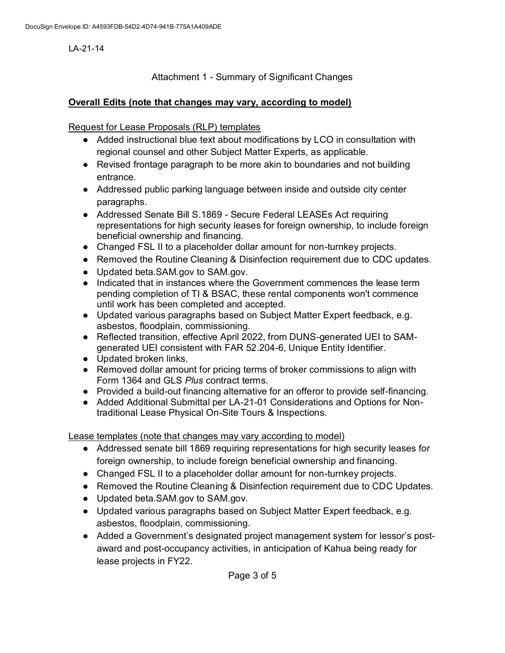Attachment 1 - Summary of Significant Changes

### **Overall Edits (note that changes may vary, according to model)**

Request for Lease Proposals (RLP) templates

- Added instructional blue text about modifications by LCO in consultation with regional counsel and other Subject Matter Experts, as applicable.
- Revised frontage paragraph to be more akin to boundaries and not building entrance.
- Addressed public parking language between inside and outside city center paragraphs.
- Addressed Senate Bill S.1869 Secure Federal LEASEs Act requiring representations for high security leases for foreign ownership, to include foreign beneficial ownership and financing.
- Changed FSL II to a placeholder dollar amount for non-turnkey projects.
- Removed the Routine Cleaning & Disinfection requirement due to CDC updates.
- Updated beta.SAM.gov to SAM.gov.
- Indicated that in instances where the Government commences the lease term pending completion of TI & BSAC, these rental components won't commence until work has been completed and accepted.
- Updated various paragraphs based on Subject Matter Expert feedback, e.g. asbestos, floodplain, commissioning.
- Reflected transition, effective April 2022, from DUNS-generated UEI to SAMgenerated UEI consistent with FAR 52.204-6, Unique Entity Identifier.
- Updated broken links.
- Removed dollar amount for pricing terms of broker commissions to align with Form 1364 and GLS *Plus* contract terms.
- Provided a build-out financing alternative for an offeror to provide self-financing.
- Added Additional Submittal per LA-21-01 Considerations and Options for Nontraditional Lease Physical On-Site Tours & Inspections.

Lease templates (note that changes may vary according to model)

- Addressed senate bill 1869 requiring representations for high security leases for foreign ownership, to include foreign beneficial ownership and financing.
- Changed FSL II to a placeholder dollar amount for non-turnkey projects.
- Removed the Routine Cleaning & Disinfection requirement due to CDC Updates.
- Updated beta.SAM.gov to SAM.gov.
- Updated various paragraphs based on Subject Matter Expert feedback, e.g. asbestos, floodplain, commissioning.
- Added a Government's designated project management system for lessor's postaward and post-occupancy activities, in anticipation of Kahua being ready for lease projects in FY22.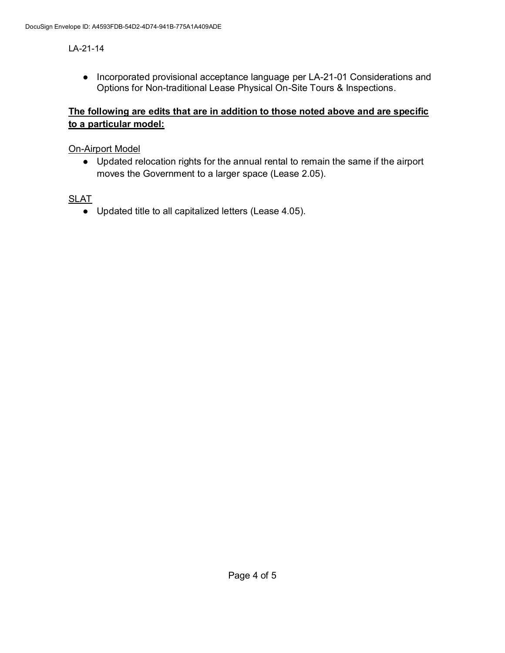● Incorporated provisional acceptance language per LA-21-01 Considerations and Options for Non-traditional Lease Physical On-Site Tours & Inspections.

# **The following are edits that are in addition to those noted above and are specific to a particular model:**

### On-Airport Model

● Updated relocation rights for the annual rental to remain the same if the airport moves the Government to a larger space (Lease 2.05).

## **SLAT**

● Updated title to all capitalized letters (Lease 4.05).